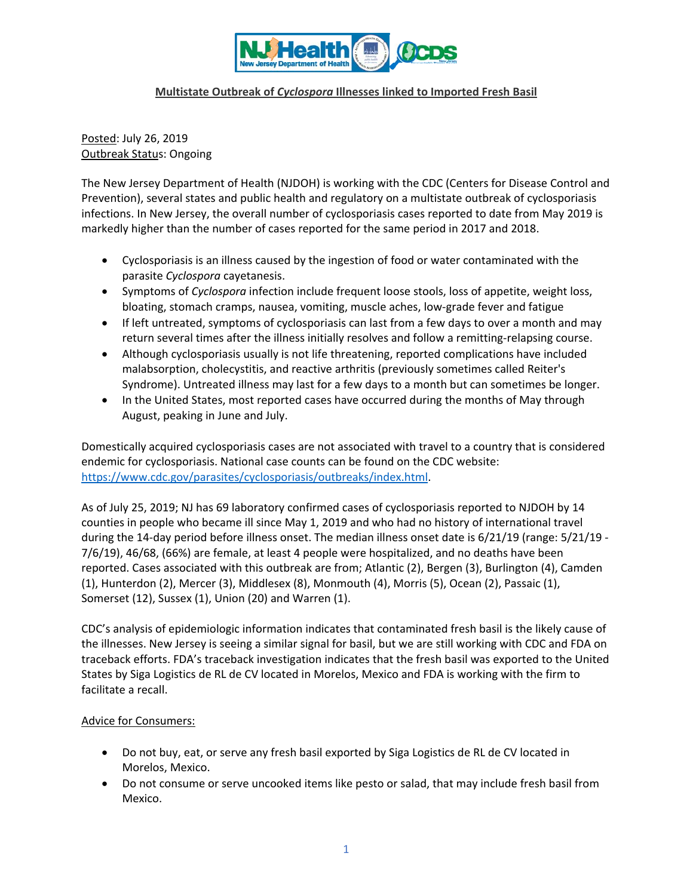

### **Multistate Outbreak of** *Cyclospora* **Illnesses linked to Imported Fresh Basil**

Posted: July 26, 2019 Outbreak Status: Ongoing

The New Jersey Department of Health (NJDOH) is working with the CDC (Centers for Disease Control and Prevention), several states and public health and regulatory on a multistate outbreak of cyclosporiasis infections. In New Jersey, the overall number of cyclosporiasis cases reported to date from May 2019 is markedly higher than the number of cases reported for the same period in 2017 and 2018.

- Cyclosporiasis is an illness caused by the ingestion of food or water contaminated with the parasite *Cyclospora* cayetanesis.
- Symptoms of *Cyclospora* infection include frequent loose stools, loss of appetite, weight loss, bloating, stomach cramps, nausea, vomiting, muscle aches, low‐grade fever and fatigue
- If left untreated, symptoms of cyclosporiasis can last from a few days to over a month and may return several times after the illness initially resolves and follow a remitting-relapsing course.
- Although cyclosporiasis usually is not life threatening, reported complications have included malabsorption, cholecystitis, and reactive arthritis (previously sometimes called Reiter's Syndrome). Untreated illness may last for a few days to a month but can sometimes be longer.
- In the United States, most reported cases have occurred during the months of May through August, peaking in June and July.

Domestically acquired cyclosporiasis cases are not associated with travel to a country that is considered endemic for cyclosporiasis. National case counts can be found on the CDC website: https://www.cdc.gov/parasites/cyclosporiasis/outbreaks/index.html.

As of July 25, 2019; NJ has 69 laboratory confirmed cases of cyclosporiasis reported to NJDOH by 14 counties in people who became ill since May 1, 2019 and who had no history of international travel during the 14‐day period before illness onset. The median illness onset date is 6/21/19 (range: 5/21/19 ‐ 7/6/19), 46/68, (66%) are female, at least 4 people were hospitalized, and no deaths have been reported. Cases associated with this outbreak are from; Atlantic (2), Bergen (3), Burlington (4), Camden (1), Hunterdon (2), Mercer (3), Middlesex (8), Monmouth (4), Morris (5), Ocean (2), Passaic (1), Somerset (12), Sussex (1), Union (20) and Warren (1).

CDC's analysis of epidemiologic information indicates that contaminated fresh basil is the likely cause of the illnesses. New Jersey is seeing a similar signal for basil, but we are still working with CDC and FDA on traceback efforts. FDA's traceback investigation indicates that the fresh basil was exported to the United States by Siga Logistics de RL de CV located in Morelos, Mexico and FDA is working with the firm to facilitate a recall.

### Advice for Consumers:

- Do not buy, eat, or serve any fresh basil exported by Siga Logistics de RL de CV located in Morelos, Mexico.
- Do not consume or serve uncooked items like pesto or salad, that may include fresh basil from Mexico.